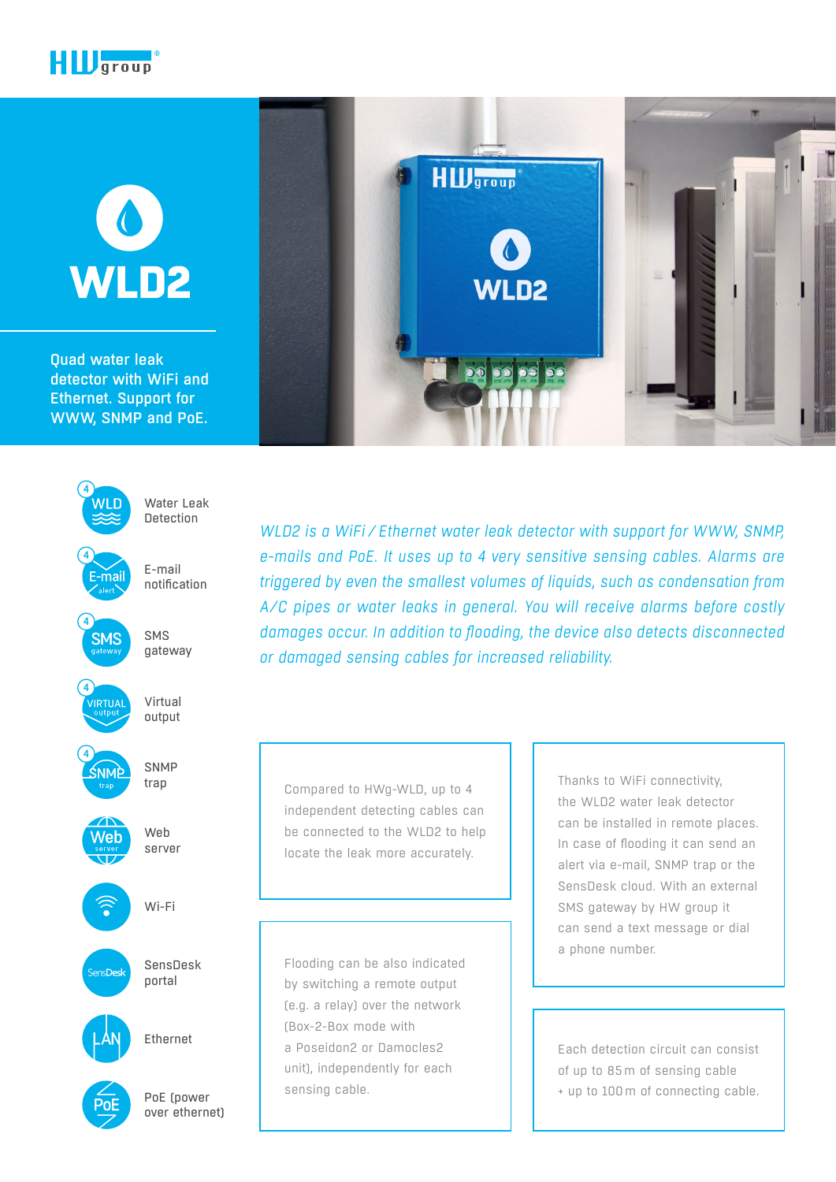

# $\bullet$ WLD2

Quad water leak detector with WiFi and Ethernet. Support for WWW, SNMP and PoE.



PoE (power over ethernet)



**HID**group

VLD2

Compared to HWg-WLD, up to 4 independent detecting cables can be connected to the WLD2 to help locate the leak more accurately.

Flooding can be also indicated by switching a remote output (e.g. a relay) over the network (Box-2-Box mode with a Poseidon2 or Damocles2 unit), independently for each sensing cable.

Thanks to WiFi connectivity, the WLD2 water leak detector can be installed in remote places. In case of flooding it can send an alert via e-mail, SNMP trap or the SensDesk cloud. With an external SMS gateway by HW group it can send a text message or dial a phone number.

Each detection circuit can consist of up to 85m of sensing cable + up to 100m of connecting cable.